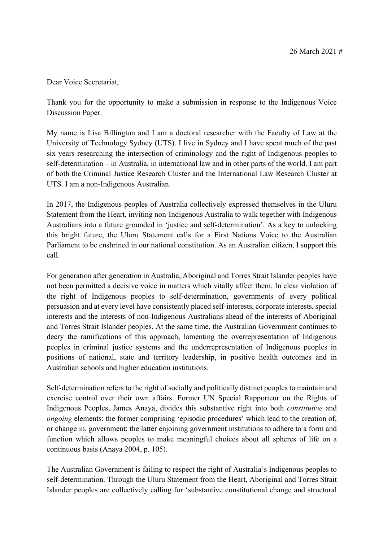Dear Voice Secretariat,

 Thank you for the opportunity to make a submission in response to the Indigenous Voice Discussion Paper.

 My name is Lisa Billington and I am a doctoral researcher with the Faculty of Law at the University of Technology Sydney (UTS). I live in Sydney and I have spent much of the past six years researching the intersection of criminology and the right of Indigenous peoples to self-determination – in Australia, in international law and in other parts of the world. I am part of both the Criminal Justice Research Cluster and the International Law Research Cluster at UTS. I am a non-Indigenous Australian.

 In 2017, the Indigenous peoples of Australia collectively expressed themselves in the Uluru Statement from the Heart, inviting non-Indigenous Australia to walk together with Indigenous Australians into a future grounded in 'justice and self-determination'. As a key to unlocking this bright future, the Uluru Statement calls for a First Nations Voice to the Australian Parliament to be enshrined in our national constitution. As an Australian citizen, I support this call.

 For generation after generation in Australia, Aboriginal and Torres Strait Islander peoples have not been permitted a decisive voice in matters which vitally affect them. In clear violation of the right of Indigenous peoples to self-determination, governments of every political persuasion and at every level have consistently placed self-interests, corporate interests, special interests and the interests of non-Indigenous Australians ahead of the interests of Aboriginal and Torres Strait Islander peoples. At the same time, the Australian Government continues to decry the ramifications of this approach, lamenting the overrepresentation of Indigenous peoples in criminal justice systems and the underrepresentation of Indigenous peoples in positions of national, state and territory leadership, in positive health outcomes and in Australian schools and higher education institutions.

 Self-determination refers to the right of socially and politically distinct peoples to maintain and exercise control over their own affairs. Former UN Special Rapporteur on the Rights of Indigenous Peoples, James Anaya, divides this substantive right into both *constitutive* and *ongoing* elements: the former comprising 'episodic procedures' which lead to the creation of, or change in, government; the latter enjoining government institutions to adhere to a form and function which allows peoples to make meaningful choices about all spheres of life on a continuous basis (Anaya 2004, p. 105).

 The Australian Government is failing to respect the right of Australia's Indigenous peoples to self-determination. Through the Uluru Statement from the Heart, Aboriginal and Torres Strait Islander peoples are collectively calling for 'substantive constitutional change and structural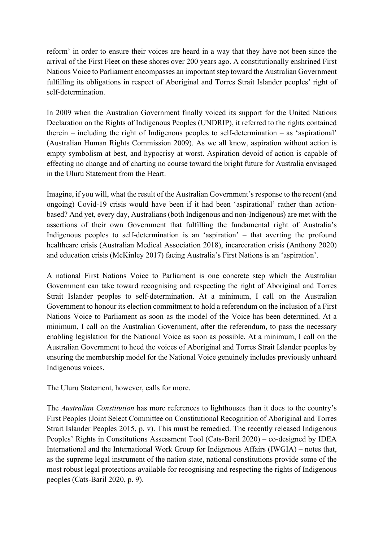reform' in order to ensure their voices are heard in a way that they have not been since the arrival of the First Fleet on these shores over 200 years ago. A constitutionally enshrined First Nations Voice to Parliament encompasses an important step toward the Australian Government fulfilling its obligations in respect of Aboriginal and Torres Strait Islander peoples' right of self-determination.

self-determination.<br>In 2009 when the Australian Government finally voiced its support for the United Nations Declaration on the Rights of Indigenous Peoples (UNDRIP), it referred to the rights contained therein – including the right of Indigenous peoples to self-determination – as 'aspirational' (Australian Human Rights Commission 2009). As we all know, aspiration without action is empty symbolism at best, and hypocrisy at worst. Aspiration devoid of action is capable of effecting no change and of charting no course toward the bright future for Australia envisaged in the Uluru Statement from the Heart.

 Imagine, if you will, what the result of the Australian Government's response to the recent (and ongoing) Covid-19 crisis would have been if it had been 'aspirational' rather than action- based? And yet, every day, Australians (both Indigenous and non-Indigenous) are met with the assertions of their own Government that fulfilling the fundamental right of Australia's Indigenous peoples to self-determination is an 'aspiration' – that averting the profound healthcare crisis (Australian Medical Association 2018), incarceration crisis (Anthony 2020) and education crisis (McKinley 2017) facing Australia's First Nations is an 'aspiration'.

 A national First Nations Voice to Parliament is one concrete step which the Australian Government can take toward recognising and respecting the right of Aboriginal and Torres Strait Islander peoples to self-determination. At a minimum, I call on the Australian Government to honour its election commitment to hold a referendum on the inclusion of a First Nations Voice to Parliament as soon as the model of the Voice has been determined. At a minimum, I call on the Australian Government, after the referendum, to pass the necessary enabling legislation for the National Voice as soon as possible. At a minimum, I call on the Australian Government to heed the voices of Aboriginal and Torres Strait Islander peoples by ensuring the membership model for the National Voice genuinely includes previously unheard Indigenous voices.

The Uluru Statement, however, calls for more.

 The *Australian Constitution* has more references to lighthouses than it does to the country's First Peoples (Joint Select Committee on Constitutional Recognition of Aboriginal and Torres Strait Islander Peoples 2015, p. v). This must be remedied. The recently released Indigenous Peoples' Rights in Constitutions Assessment Tool (Cats-Baril 2020) – co-designed by IDEA International and the International Work Group for Indigenous Affairs (IWGIA) – notes that, as the supreme legal instrument of the nation state, national constitutions provide some of the most robust legal protections available for recognising and respecting the rights of Indigenous peoples (Cats-Baril 2020, p. 9).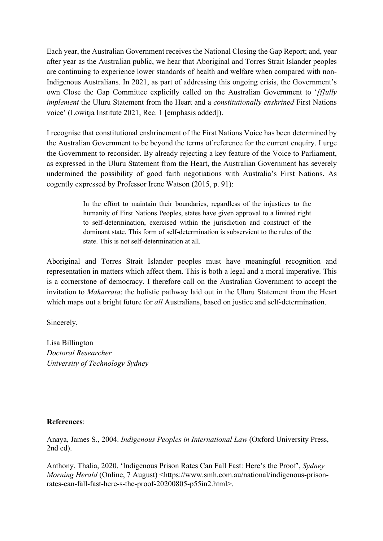Each year, the Australian Government receives the National Closing the Gap Report; and, year after year as the Australian public, we hear that Aboriginal and Torres Strait Islander peoples Indigenous Australians. In 2021, as part of addressing this ongoing crisis, the Government's own Close the Gap Committee explicitly called on the Australian Government to '*[f]ully implement* the Uluru Statement from the Heart and a *constitutionally enshrined* First Nations voice' (Lowitja Institute 2021, Rec. 1 [emphasis added]). are continuing to experience lower standards of health and welfare when compared with non-

 I recognise that constitutional enshrinement of the First Nations Voice has been determined by the Australian Government to be beyond the terms of reference for the current enquiry. I urge the Government to reconsider. By already rejecting a key feature of the Voice to Parliament, as expressed in the Uluru Statement from the Heart, the Australian Government has severely undermined the possibility of good faith negotiations with Australia's First Nations. As cogently expressed by Professor Irene Watson (2015, p. 91):

> In the effort to maintain their boundaries, regardless of the injustices to the humanity of First Nations Peoples, states have given approval to a limited right to self-determination, exercised within the jurisdiction and construct of the dominant state. This form of self-determination is subservient to the rules of the state. This is not self-determination at all.

 Aboriginal and Torres Strait Islander peoples must have meaningful recognition and representation in matters which affect them. This is both a legal and a moral imperative. This is a cornerstone of democracy. I therefore call on the Australian Government to accept the invitation to *Makarrata*: the holistic pathway laid out in the Uluru Statement from the Heart which maps out a bright future for *all* Australians, based on justice and self-determination.

Sincerely,

Lisa Billington *Doctoral Researcher University of Technology Sydney* 

## **References**:

Anaya, James S., 2004. *Indigenous Peoples in International Law* (Oxford University Press, 2nd ed).

Anthony, Thalia, 2020. 'Indigenous Prison Rates Can Fall Fast: Here's the Proof', *Sydney Morning Herald (Online, 7 August)* <https://www.smh.com.au/national/indigenous-prisonrates-can-fall-fast-here-s-the-proof-20200805-p55in2.html>.